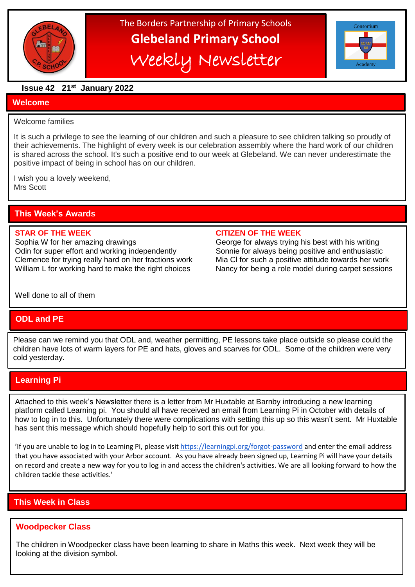

# The Borders Partnership of Primary Schools **Glebeland Primary School** Weekly Newsletter



#### **Issue 42 21st January 2022**

#### **Welcome**

#### Welcome families

It is such a privilege to see the learning of our children and such a pleasure to see children talking so proudly of their achievements. The highlight of every week is our celebration assembly where the hard work of our children is shared across the school. It's such a positive end to our week at Glebeland. We can never underestimate the positive impact of being in school has on our children.

I wish you a lovely weekend, Mrs Scott

# **This Week's Awards**

Sophia W for her amazing drawings George for always trying his best with his writing Odin for super effort and working independently Sonnie for always being positive and enthusiastic Clemence for trying really hard on her fractions work Mia Cl for such a positive attitude towards her work William L for working hard to make the right choices Nancy for being a role model during carpet sessions

#### **STAR OF THE WEEK CITIZEN OF THE WEEK**

Well done to all of them

# **ODL and PE**

Please can we remind you that ODL and, weather permitting, PE lessons take place outside so please could the children have lots of warm layers for PE and hats, gloves and scarves for ODL. Some of the children were very cold yesterday.

# **Learning Pi**

 has sent this message which should hopefully help to sort this out for you. Attached to this week's Newsletter there is a letter from Mr Huxtable at Barnby introducing a new learning platform called Learning pi. You should all have received an email from Learning Pi in October with details of how to log in to this. Unfortunately there were complications with setting this up so this wasn't sent. Mr Huxtable

'If you are unable to log in to Learning Pi, please visit <https://learningpi.org/forgot-password> and enter the email address that you have associated with your Arbor account. As you have already been signed up, Learning Pi will have your details on record and create a new way for you to log in and access the children's activities. We are all looking forward to how the children tackle these activities.'

# **This Week in Class**

#### **Woodpecker Class**

The children in Woodpecker class have been learning to share in Maths this week. Next week they will be looking at the division symbol.